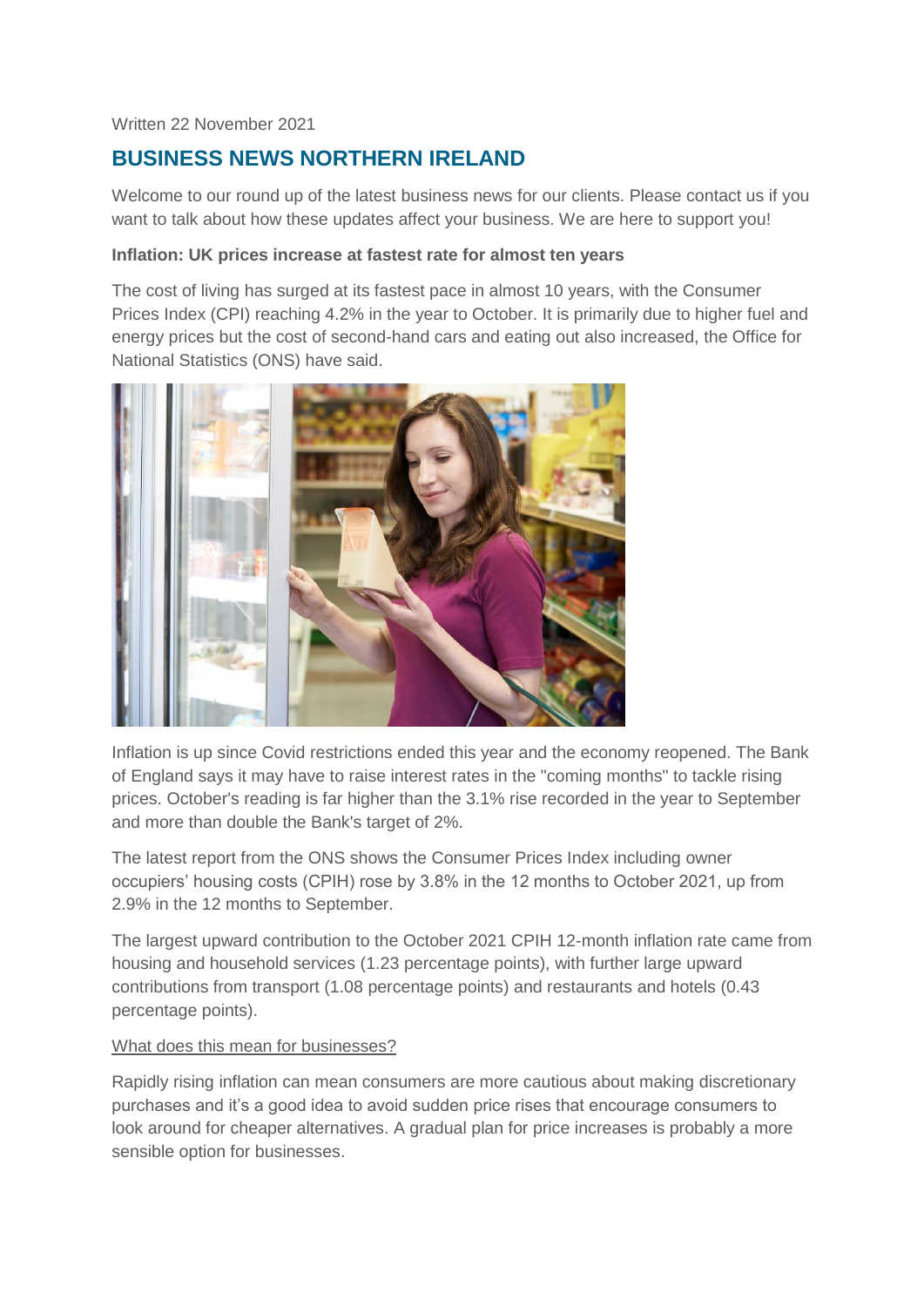#### Written 22 November 2021

# **BUSINESS NEWS NORTHERN IRELAND**

Welcome to our round up of the latest business news for our clients. Please contact us if you want to talk about how these updates affect your business. We are here to support you!

#### **Inflation: UK prices increase at fastest rate for almost ten years**

The cost of living has surged at its fastest pace in almost 10 years, with the Consumer Prices Index (CPI) reaching 4.2% in the year to October. It is primarily due to higher fuel and energy prices but the cost of second-hand cars and eating out also increased, the Office for National Statistics (ONS) have said.



Inflation is up since Covid restrictions ended this year and the economy reopened. The Bank of England says it may have to raise interest rates in the "coming months" to tackle rising prices. October's reading is far higher than the 3.1% rise recorded in the year to September and more than double the Bank's target of 2%.

The latest report from the ONS shows the Consumer Prices Index including owner occupiers' housing costs (CPIH) rose by 3.8% in the 12 months to October 2021, up from 2.9% in the 12 months to September.

The largest upward contribution to the October 2021 CPIH 12-month inflation rate came from housing and household services (1.23 percentage points), with further large upward contributions from transport (1.08 percentage points) and restaurants and hotels (0.43 percentage points).

#### What does this mean for businesses?

Rapidly rising inflation can mean consumers are more cautious about making discretionary purchases and it's a good idea to avoid sudden price rises that encourage consumers to look around for cheaper alternatives. A gradual plan for price increases is probably a more sensible option for businesses.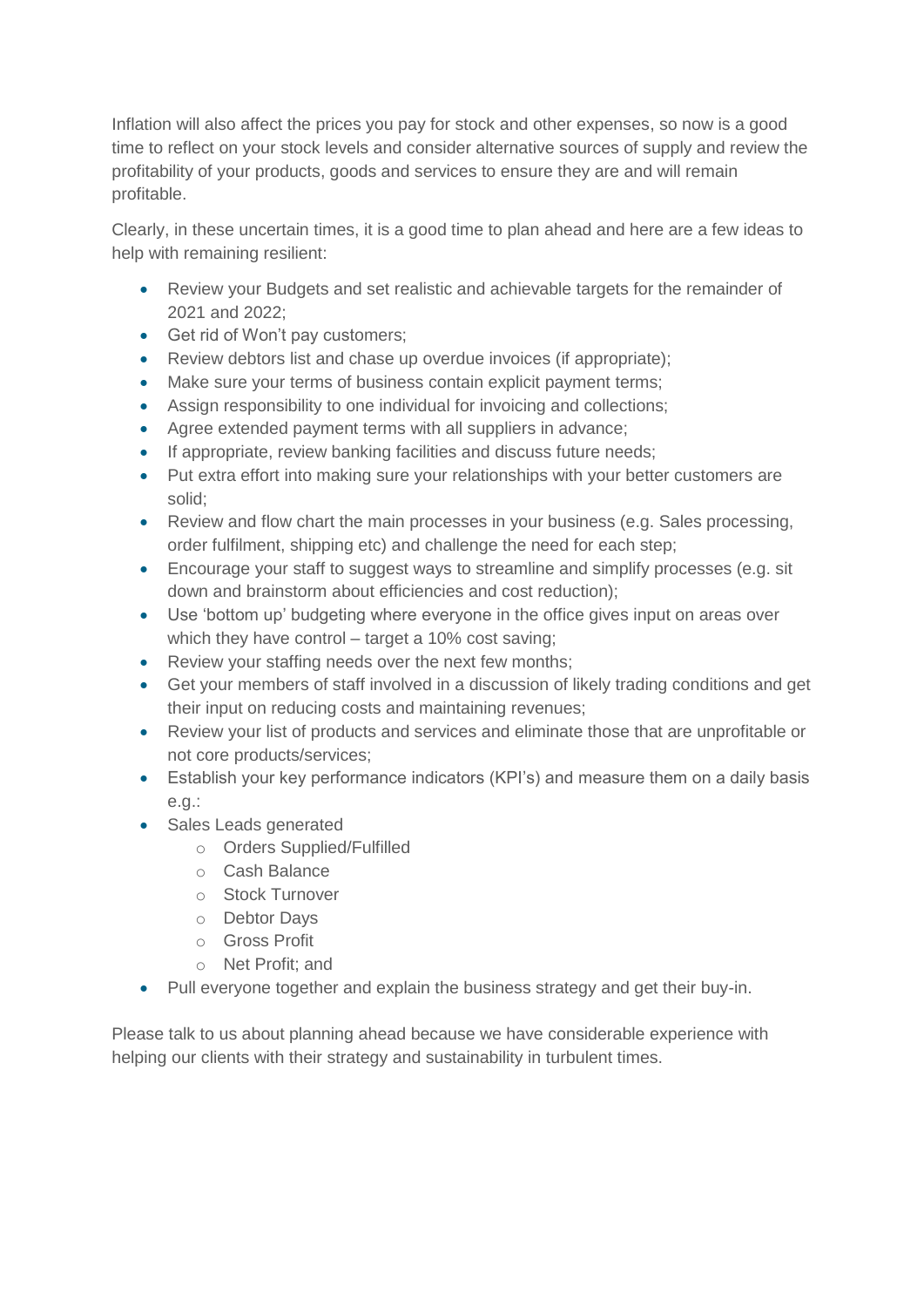Inflation will also affect the prices you pay for stock and other expenses, so now is a good time to reflect on your stock levels and consider alternative sources of supply and review the profitability of your products, goods and services to ensure they are and will remain profitable.

Clearly, in these uncertain times, it is a good time to plan ahead and here are a few ideas to help with remaining resilient:

- Review your Budgets and set realistic and achievable targets for the remainder of 2021 and 2022;
- Get rid of Won't pay customers:
- Review debtors list and chase up overdue invoices (if appropriate);
- Make sure your terms of business contain explicit payment terms;
- Assign responsibility to one individual for invoicing and collections;
- Agree extended payment terms with all suppliers in advance;
- If appropriate, review banking facilities and discuss future needs;
- Put extra effort into making sure your relationships with your better customers are solid;
- Review and flow chart the main processes in your business (e.g. Sales processing, order fulfilment, shipping etc) and challenge the need for each step;
- Encourage your staff to suggest ways to streamline and simplify processes (e.g. sit down and brainstorm about efficiencies and cost reduction);
- Use 'bottom up' budgeting where everyone in the office gives input on areas over which they have control – target a 10% cost saving;
- Review your staffing needs over the next few months;
- Get your members of staff involved in a discussion of likely trading conditions and get their input on reducing costs and maintaining revenues;
- Review your list of products and services and eliminate those that are unprofitable or not core products/services;
- Establish your key performance indicators (KPI's) and measure them on a daily basis e.g.:
- Sales Leads generated
	- o Orders Supplied/Fulfilled
	- o Cash Balance
	- o Stock Turnover
	- o Debtor Days
	- o Gross Profit
	- o Net Profit; and
- Pull everyone together and explain the business strategy and get their buy-in.

Please talk to us about planning ahead because we have considerable experience with helping our clients with their strategy and sustainability in turbulent times.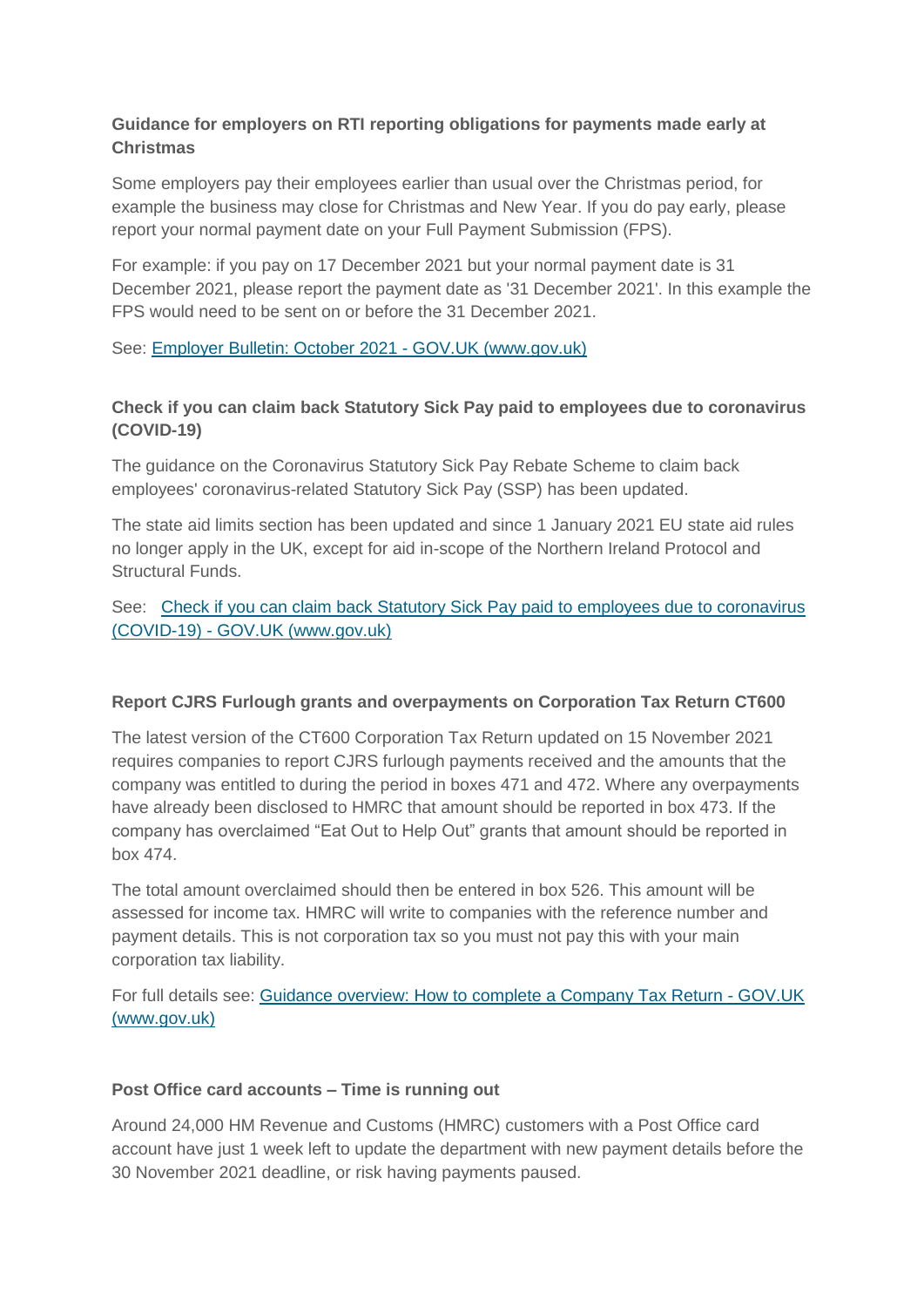### **Guidance for employers on RTI reporting obligations for payments made early at Christmas**

Some employers pay their employees earlier than usual over the Christmas period, for example the business may close for Christmas and New Year. If you do pay early, please report your normal payment date on your Full Payment Submission (FPS).

For example: if you pay on 17 December 2021 but your normal payment date is 31 December 2021, please report the payment date as '31 December 2021'. In this example the FPS would need to be sent on or before the 31 December 2021.

See: [Employer Bulletin: October 2021 -](https://www.gov.uk/government/publications/employer-bulletin-october-2021/employer-bulletin-october-2021) GOV.UK (www.gov.uk)

# **Check if you can claim back Statutory Sick Pay paid to employees due to coronavirus (COVID-19)**

The guidance on the Coronavirus Statutory Sick Pay Rebate Scheme to claim back employees' coronavirus-related Statutory Sick Pay (SSP) has been updated.

The state aid limits section has been updated and since 1 January 2021 EU state aid rules no longer apply in the UK, except for aid in-scope of the Northern Ireland Protocol and Structural Funds.

### See: [Check if you can claim back Statutory Sick Pay paid to employees due to coronavirus](https://www.gov.uk/guidance/claim-back-statutory-sick-pay-paid-to-employees-due-to-coronavirus-covid-19?utm_medium=email&utm_campaign=govuk-notifications&utm_source=0e4ed820-cf0d-498b-8f93-8e9afec7d8a2&utm_content=daily)  (COVID-19) - [GOV.UK \(www.gov.uk\)](https://www.gov.uk/guidance/claim-back-statutory-sick-pay-paid-to-employees-due-to-coronavirus-covid-19?utm_medium=email&utm_campaign=govuk-notifications&utm_source=0e4ed820-cf0d-498b-8f93-8e9afec7d8a2&utm_content=daily)

### **Report CJRS Furlough grants and overpayments on Corporation Tax Return CT600**

The latest version of the CT600 Corporation Tax Return updated on 15 November 2021 requires companies to report CJRS furlough payments received and the amounts that the company was entitled to during the period in boxes 471 and 472. Where any overpayments have already been disclosed to HMRC that amount should be reported in box 473. If the company has overclaimed "Eat Out to Help Out" grants that amount should be reported in box 474.

The total amount overclaimed should then be entered in box 526. This amount will be assessed for income tax. HMRC will write to companies with the reference number and payment details. This is not corporation tax so you must not pay this with your main corporation tax liability.

For full details see: [Guidance overview: How to complete a Company Tax Return -](https://www.gov.uk/government/publications/corporation-tax-company-tax-return-guide) GOV.UK [\(www.gov.uk\)](https://www.gov.uk/government/publications/corporation-tax-company-tax-return-guide)

### **Post Office card accounts – Time is running out**

Around 24,000 HM Revenue and Customs (HMRC) customers with a Post Office card account have just 1 week left to update the department with new payment details before the 30 November 2021 deadline, or risk having payments paused.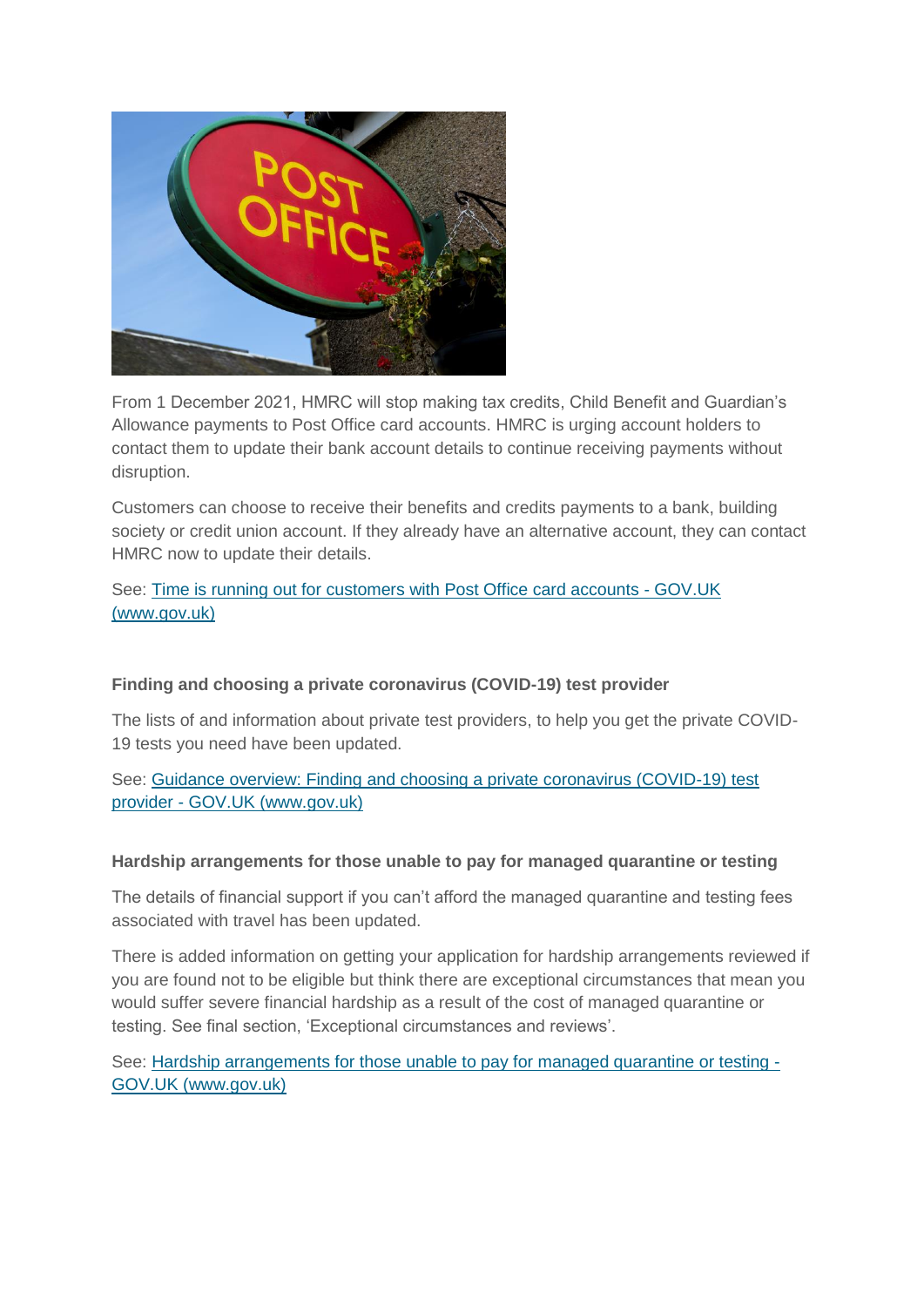

From 1 December 2021, HMRC will stop making tax credits, Child Benefit and Guardian's Allowance payments to Post Office card accounts. HMRC is urging account holders to contact them to update their bank account details to continue receiving payments without disruption.

Customers can choose to receive their benefits and credits payments to a bank, building society or credit union account. If they already have an alternative account, they can contact HMRC now to update their details.

# See: [Time is running out for customers with Post Office card accounts -](https://www.gov.uk/government/news/time-is-running-out-for-customers-with-post-office-card-accounts) GOV.UK [\(www.gov.uk\)](https://www.gov.uk/government/news/time-is-running-out-for-customers-with-post-office-card-accounts)

# **Finding and choosing a private coronavirus (COVID-19) test provider**

The lists of and information about private test providers, to help you get the private COVID-19 tests you need have been updated.

See: [Guidance overview: Finding and choosing a private coronavirus \(COVID-19\) test](https://www.gov.uk/government/publications/list-of-private-providers-of-coronavirus-testing?utm_medium=email&utm_campaign=govuk-notifications&utm_source=813e5c9b-268e-41b9-ad55-ac15fe1c10f3&utm_content=daily)  provider - [GOV.UK \(www.gov.uk\)](https://www.gov.uk/government/publications/list-of-private-providers-of-coronavirus-testing?utm_medium=email&utm_campaign=govuk-notifications&utm_source=813e5c9b-268e-41b9-ad55-ac15fe1c10f3&utm_content=daily)

### **Hardship arrangements for those unable to pay for managed quarantine or testing**

The details of financial support if you can't afford the managed quarantine and testing fees associated with travel has been updated.

There is added information on getting your application for hardship arrangements reviewed if you are found not to be eligible but think there are exceptional circumstances that mean you would suffer severe financial hardship as a result of the cost of managed quarantine or testing. See final section, 'Exceptional circumstances and reviews'.

See: [Hardship arrangements for those unable to pay for managed quarantine or testing -](https://www.gov.uk/guidance/hardship-arrangements-for-those-unable-to-pay-for-managed-quarantine-or-testing?utm_medium=email&utm_campaign=govuk-notifications&utm_source=318277fb-a314-4677-b265-b68657473efc&utm_content=daily) [GOV.UK \(www.gov.uk\)](https://www.gov.uk/guidance/hardship-arrangements-for-those-unable-to-pay-for-managed-quarantine-or-testing?utm_medium=email&utm_campaign=govuk-notifications&utm_source=318277fb-a314-4677-b265-b68657473efc&utm_content=daily)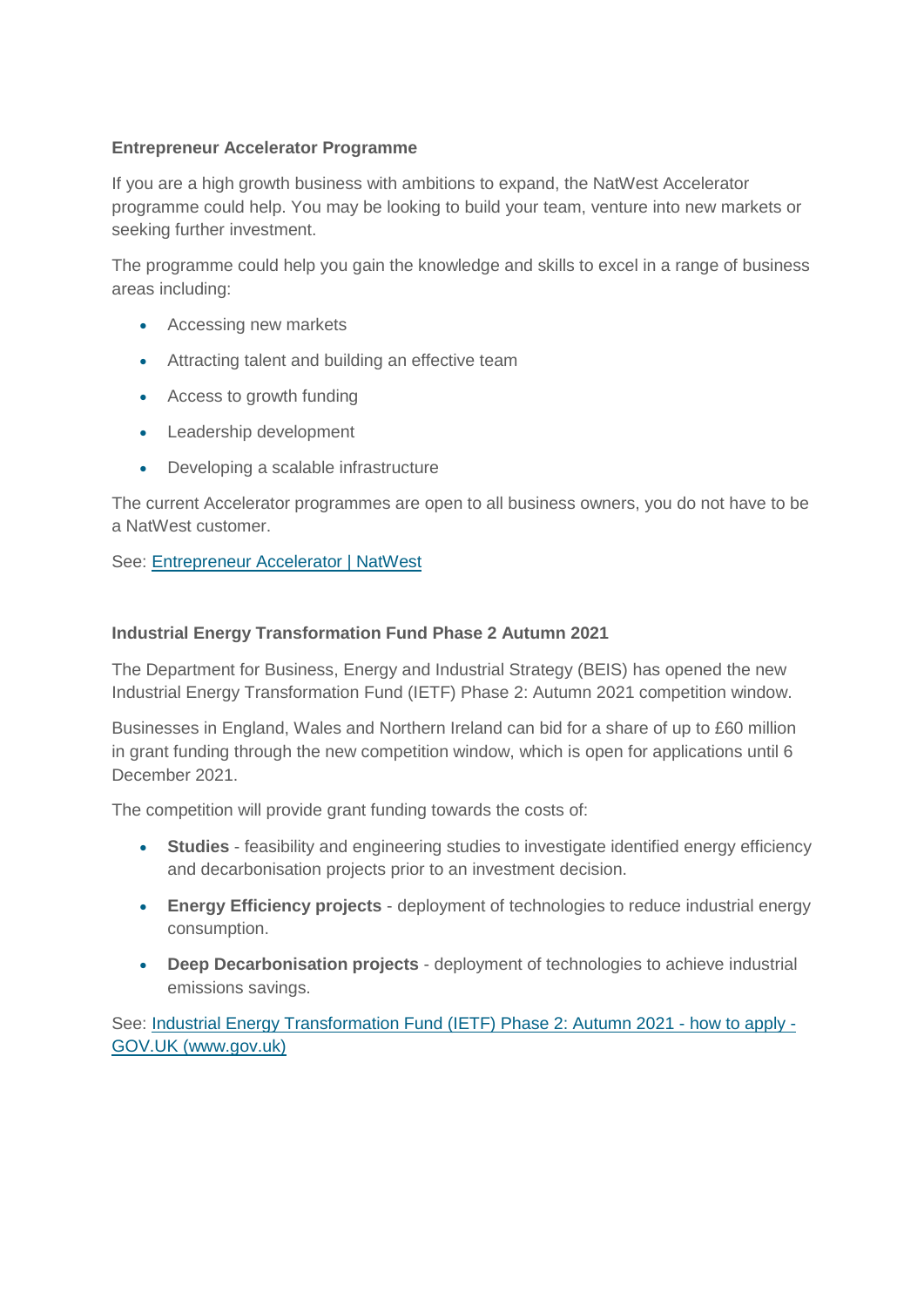### **Entrepreneur Accelerator Programme**

If you are a high growth business with ambitions to expand, the NatWest Accelerator programme could help. You may be looking to build your team, venture into new markets or seeking further investment.

The programme could help you gain the knowledge and skills to excel in a range of business areas including:

- Accessing new markets
- Attracting talent and building an effective team
- Access to growth funding
- Leadership development
- Developing a scalable infrastructure

The current Accelerator programmes are open to all business owners, you do not have to be a NatWest customer.

### See: [Entrepreneur Accelerator | NatWest](https://www.natwest.com/business/business-services/entrepreneur-accelerator.html)

#### **Industrial Energy Transformation Fund Phase 2 Autumn 2021**

The Department for Business, Energy and Industrial Strategy (BEIS) has opened the new Industrial Energy Transformation Fund (IETF) Phase 2: Autumn 2021 competition window.

Businesses in England, Wales and Northern Ireland can bid for a share of up to £60 million in grant funding through the new competition window, which is open for applications until 6 December 2021.

The competition will provide grant funding towards the costs of:

- **Studies** feasibility and engineering studies to investigate identified energy efficiency and decarbonisation projects prior to an investment decision.
- **Energy Efficiency projects** deployment of technologies to reduce industrial energy consumption.
- **Deep Decarbonisation projects** deployment of technologies to achieve industrial emissions savings.

See: [Industrial Energy Transformation Fund \(IETF\) Phase 2: Autumn 2021 -](https://www.gov.uk/government/publications/industrial-energy-transformation-fund-ietf-phase-2-autumn-2021) how to apply - [GOV.UK \(www.gov.uk\)](https://www.gov.uk/government/publications/industrial-energy-transformation-fund-ietf-phase-2-autumn-2021)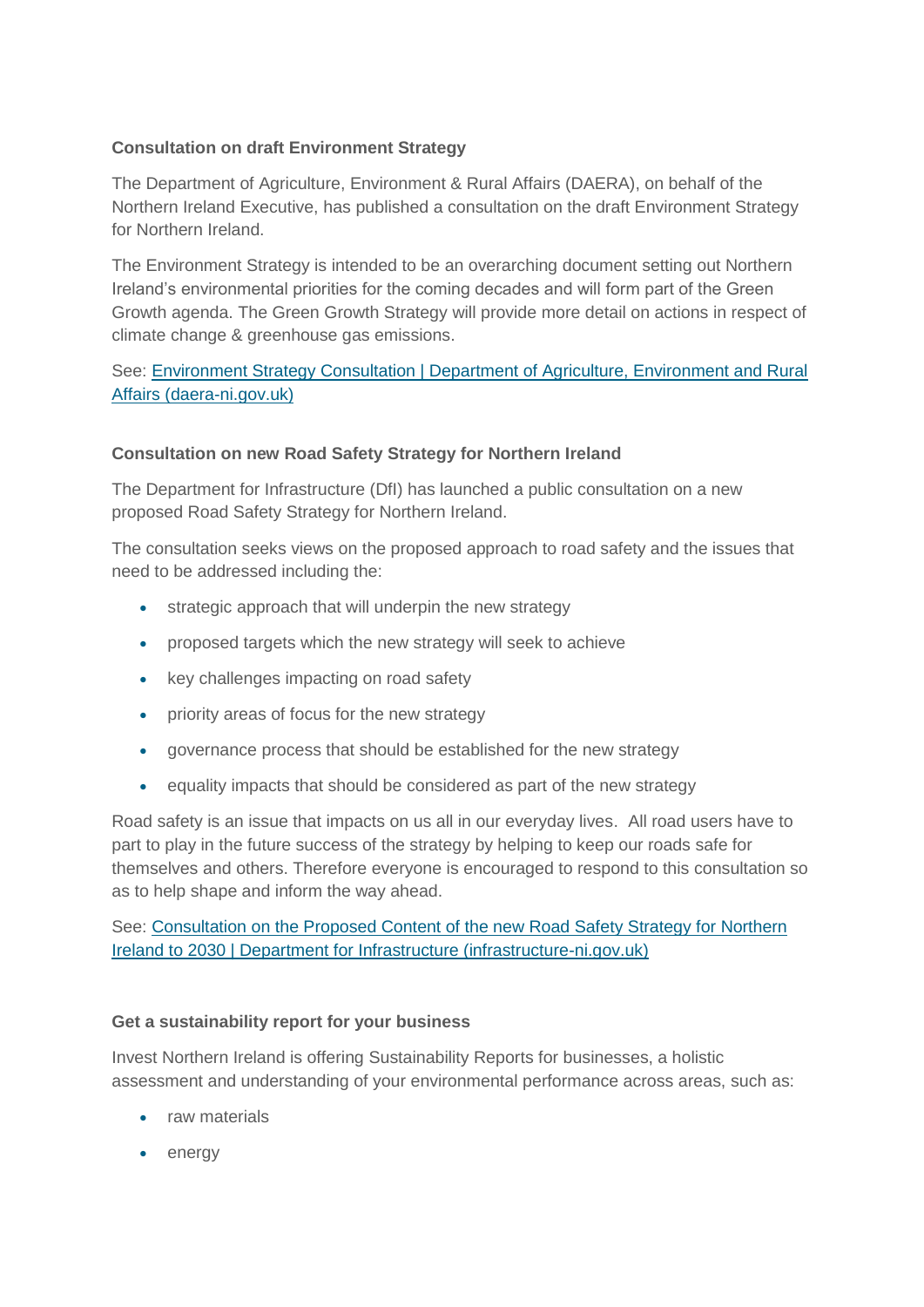### **Consultation on draft Environment Strategy**

The Department of Agriculture, Environment & Rural Affairs (DAERA), on behalf of the Northern Ireland Executive, has published a consultation on the draft Environment Strategy for Northern Ireland.

The Environment Strategy is intended to be an overarching document setting out Northern Ireland's environmental priorities for the coming decades and will form part of the Green Growth agenda. The Green Growth Strategy will provide more detail on actions in respect of climate change & greenhouse gas emissions.

See: [Environment Strategy Consultation | Department of Agriculture, Environment and Rural](https://www.daera-ni.gov.uk/consultations/environment-strategy-consultation)  [Affairs \(daera-ni.gov.uk\)](https://www.daera-ni.gov.uk/consultations/environment-strategy-consultation)

# **Consultation on new Road Safety Strategy for Northern Ireland**

The Department for Infrastructure (DfI) has launched a public consultation on a new proposed Road Safety Strategy for Northern Ireland.

The consultation seeks views on the proposed approach to road safety and the issues that need to be addressed including the:

- strategic approach that will underpin the new strategy
- proposed targets which the new strategy will seek to achieve
- key challenges impacting on road safety
- priority areas of focus for the new strategy
- governance process that should be established for the new strategy
- equality impacts that should be considered as part of the new strategy

Road safety is an issue that impacts on us all in our everyday lives. All road users have to part to play in the future success of the strategy by helping to keep our roads safe for themselves and others. Therefore everyone is encouraged to respond to this consultation so as to help shape and inform the way ahead.

See: [Consultation on the Proposed Content of the new Road Safety Strategy for Northern](https://www.infrastructure-ni.gov.uk/consultations/consultation-proposed-content-new-road-safety-strategy-northern-ireland-2030)  [Ireland to 2030 | Department for Infrastructure \(infrastructure-ni.gov.uk\)](https://www.infrastructure-ni.gov.uk/consultations/consultation-proposed-content-new-road-safety-strategy-northern-ireland-2030)

### **Get a sustainability report for your business**

Invest Northern Ireland is offering Sustainability Reports for businesses, a holistic assessment and understanding of your environmental performance across areas, such as:

- raw materials
- energy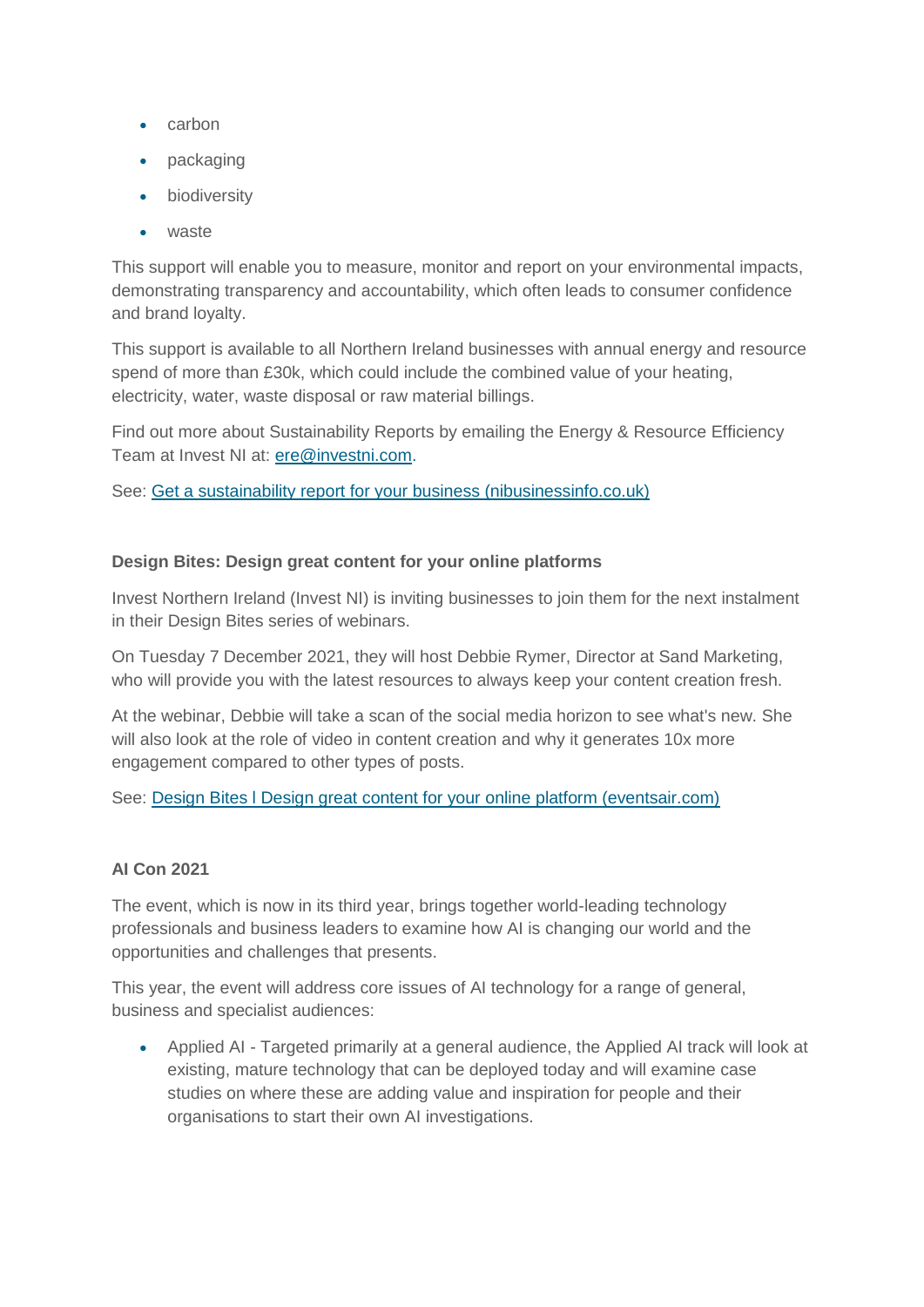- carbon
- packaging
- biodiversity
- waste

This support will enable you to measure, monitor and report on your environmental impacts, demonstrating transparency and accountability, which often leads to consumer confidence and brand loyalty.

This support is available to all Northern Ireland businesses with annual energy and resource spend of more than £30k, which could include the combined value of your heating, electricity, water, waste disposal or raw material billings.

Find out more about Sustainability Reports by emailing the Energy & Resource Efficiency Team at Invest NI at: [ere@investni.com.](mailto:ere@investni.com)

See: [Get a sustainability report for your business \(nibusinessinfo.co.uk\)](https://www.nibusinessinfo.co.uk/content/get-sustainability-report-your-business)

### **Design Bites: Design great content for your online platforms**

Invest Northern Ireland (Invest NI) is inviting businesses to join them for the next instalment in their Design Bites series of webinars.

On Tuesday 7 December 2021, they will host Debbie Rymer, Director at Sand Marketing, who will provide you with the latest resources to always keep your content creation fresh.

At the webinar, Debbie will take a scan of the social media horizon to see what's new. She will also look at the role of video in content creation and why it generates 10x more engagement compared to other types of posts.

See: [Design Bites l Design great content for your online platform \(eventsair.com\)](https://eventfulbelfast.eventsair.com/designbitesonlineplatforms/designbitescontent/Site/Register)

### **AI Con 2021**

The event, which is now in its third year, brings together world-leading technology professionals and business leaders to examine how AI is changing our world and the opportunities and challenges that presents.

This year, the event will address core issues of AI technology for a range of general, business and specialist audiences:

 Applied AI - Targeted primarily at a general audience, the Applied AI track will look at existing, mature technology that can be deployed today and will examine case studies on where these are adding value and inspiration for people and their organisations to start their own AI investigations.